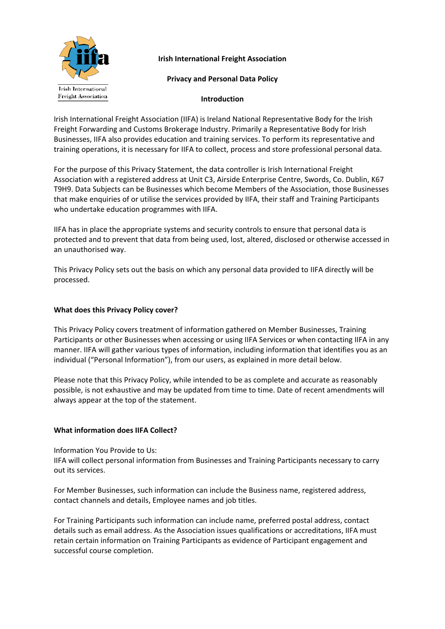

# **Irish International Freight Association**

## **Privacy and Personal Data Policy**

## **Introduction**

Irish International Freight Association (IIFA) is Ireland National Representative Body for the Irish Freight Forwarding and Customs Brokerage Industry. Primarily a Representative Body for Irish Businesses, IIFA also provides education and training services. To perform its representative and training operations, it is necessary for IIFA to collect, process and store professional personal data.

For the purpose of this Privacy Statement, the data controller is Irish International Freight Association with a registered address at Unit C3, Airside Enterprise Centre, Swords, Co. Dublin, K67 T9H9. Data Subjects can be Businesses which become Members of the Association, those Businesses that make enquiries of or utilise the services provided by IIFA, their staff and Training Participants who undertake education programmes with IIFA.

IIFA has in place the appropriate systems and security controls to ensure that personal data is protected and to prevent that data from being used, lost, altered, disclosed or otherwise accessed in an unauthorised way.

This Privacy Policy sets out the basis on which any personal data provided to IIFA directly will be processed.

## **What does this Privacy Policy cover?**

This Privacy Policy covers treatment of information gathered on Member Businesses, Training Participants or other Businesses when accessing or using IIFA Services or when contacting IIFA in any manner. IIFA will gather various types of information, including information that identifies you as an individual ("Personal Information"), from our users, as explained in more detail below.

Please note that this Privacy Policy, while intended to be as complete and accurate as reasonably possible, is not exhaustive and may be updated from time to time. Date of recent amendments will always appear at the top of the statement.

## **What information does IIFA Collect?**

Information You Provide to Us:

IIFA will collect personal information from Businesses and Training Participants necessary to carry out its services.

For Member Businesses, such information can include the Business name, registered address, contact channels and details, Employee names and job titles.

For Training Participants such information can include name, preferred postal address, contact details such as email address. As the Association issues qualifications or accreditations, IIFA must retain certain information on Training Participants as evidence of Participant engagement and successful course completion.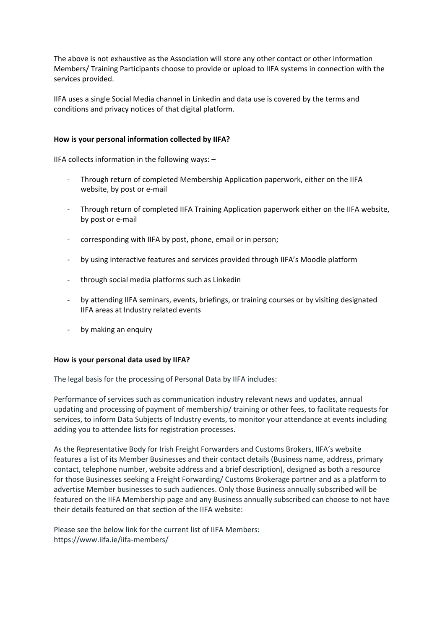The above is not exhaustive as the Association will store any other contact or other information Members/ Training Participants choose to provide or upload to IIFA systems in connection with the services provided.

IIFA uses a single Social Media channel in Linkedin and data use is covered by the terms and conditions and privacy notices of that digital platform.

## **How is your personal information collected by IIFA?**

IIFA collects information in the following ways: –

- Through return of completed Membership Application paperwork, either on the IIFA website, by post or e-mail
- Through return of completed IIFA Training Application paperwork either on the IIFA website, by post or e-mail
- corresponding with IIFA by post, phone, email or in person;
- by using interactive features and services provided through IIFA's Moodle platform
- through social media platforms such as Linkedin
- by attending IIFA seminars, events, briefings, or training courses or by visiting designated IIFA areas at Industry related events
- by making an enquiry

## **How is your personal data used by IIFA?**

The legal basis for the processing of Personal Data by IIFA includes:

Performance of services such as communication industry relevant news and updates, annual updating and processing of payment of membership/ training or other fees, to facilitate requests for services, to inform Data Subjects of Industry events, to monitor your attendance at events including adding you to attendee lists for registration processes.

As the Representative Body for Irish Freight Forwarders and Customs Brokers, IIFA's website features a list of its Member Businesses and their contact details (Business name, address, primary contact, telephone number, website address and a brief description), designed as both a resource for those Businesses seeking a Freight Forwarding/ Customs Brokerage partner and as a platform to advertise Member businesses to such audiences. Only those Business annually subscribed will be featured on the IIFA Membership page and any Business annually subscribed can choose to not have their details featured on that section of the IIFA website:

Please see the below link for the current list of IIFA Members: https://www.iifa.ie/iifa-members/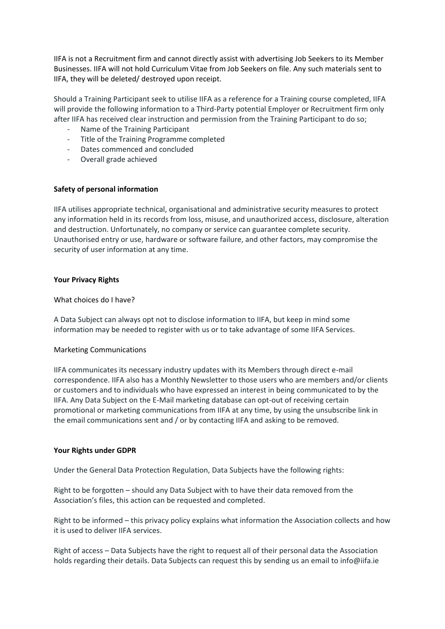IIFA is not a Recruitment firm and cannot directly assist with advertising Job Seekers to its Member Businesses. IIFA will not hold Curriculum Vitae from Job Seekers on file. Any such materials sent to IIFA, they will be deleted/ destroyed upon receipt.

Should a Training Participant seek to utilise IIFA as a reference for a Training course completed, IIFA will provide the following information to a Third-Party potential Employer or Recruitment firm only after IIFA has received clear instruction and permission from the Training Participant to do so;

- Name of the Training Participant
- Title of the Training Programme completed
- Dates commenced and concluded
- Overall grade achieved

## **Safety of personal information**

IIFA utilises appropriate technical, organisational and administrative security measures to protect any information held in its records from loss, misuse, and unauthorized access, disclosure, alteration and destruction. Unfortunately, no company or service can guarantee complete security. Unauthorised entry or use, hardware or software failure, and other factors, may compromise the security of user information at any time.

### **Your Privacy Rights**

### What choices do I have?

A Data Subject can always opt not to disclose information to IIFA, but keep in mind some information may be needed to register with us or to take advantage of some IIFA Services.

## Marketing Communications

IIFA communicates its necessary industry updates with its Members through direct e-mail correspondence. IIFA also has a Monthly Newsletter to those users who are members and/or clients or customers and to individuals who have expressed an interest in being communicated to by the IIFA. Any Data Subject on the E-Mail marketing database can opt-out of receiving certain promotional or marketing communications from IIFA at any time, by using the unsubscribe link in the email communications sent and / or by contacting IIFA and asking to be removed.

#### **Your Rights under GDPR**

Under the General Data Protection Regulation, Data Subjects have the following rights:

Right to be forgotten – should any Data Subject with to have their data removed from the Association's files, this action can be requested and completed.

Right to be informed – this privacy policy explains what information the Association collects and how it is used to deliver IIFA services.

Right of access – Data Subjects have the right to request all of their personal data the Association holds regarding their details. Data Subjects can request this by sending us an email to info@iifa.ie